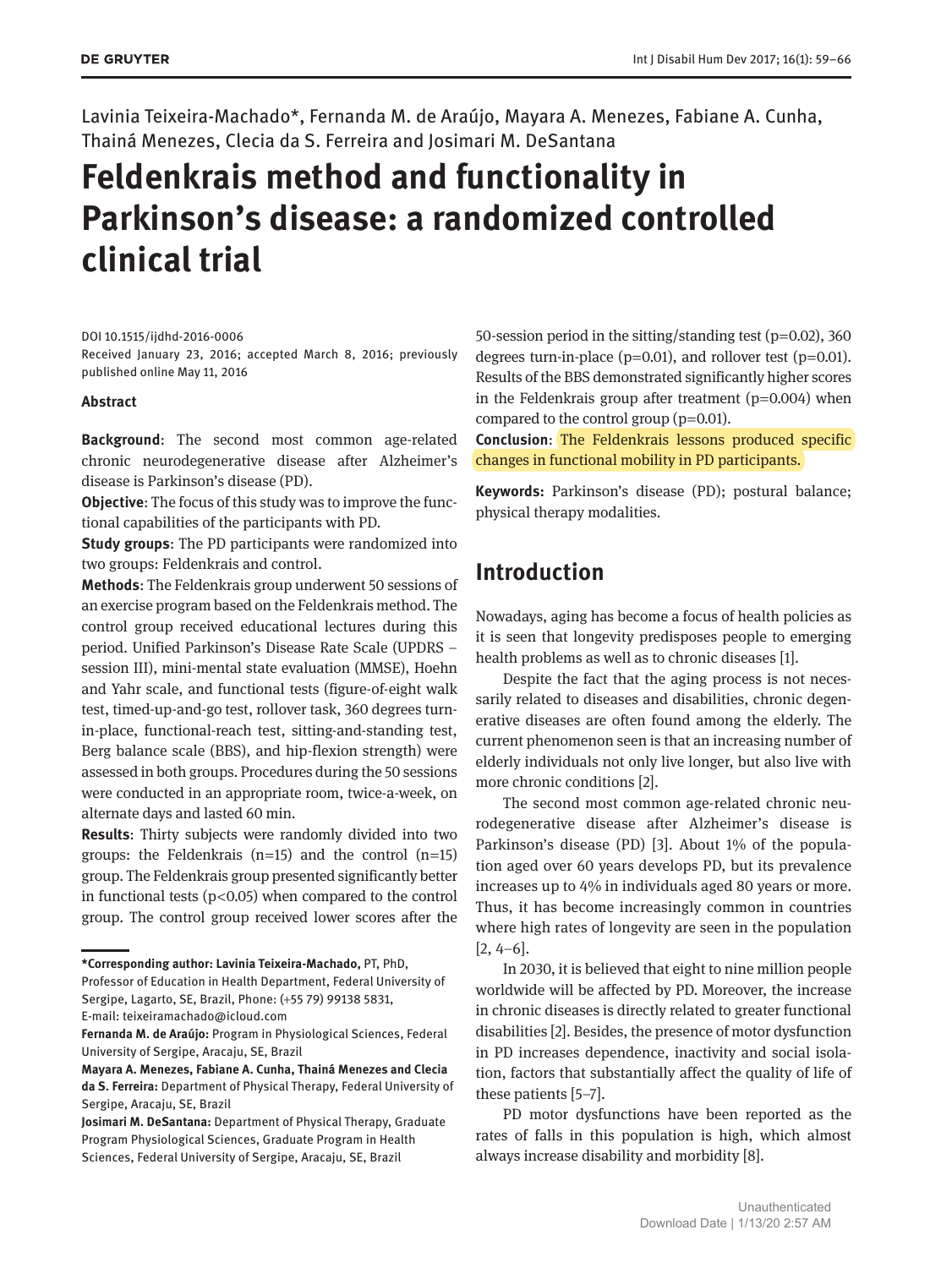Lavinia Teixeira-Machado\*, Fernanda M. de Araújo, Mayara A. Menezes, Fabiane A. Cunha, Thainá Menezes, Clecia da S. Ferreira and Josimari M. DeSantana

# **Feldenkrais method and functionality in Parkinson's disease: a randomized controlled clinical trial**

#### DOI 10.1515/ijdhd-2016-0006

Received January 23, 2016; accepted March 8, 2016; previously published online May 11, 2016

#### **Abstract**

**Background**: The second most common age-related chronic neurodegenerative disease after Alzheimer's disease is Parkinson's disease (PD).

**Objective**: The focus of this study was to improve the functional capabilities of the participants with PD.

**Study groups**: The PD participants were randomized into two groups: Feldenkrais and control.

**Methods**: The Feldenkrais group underwent 50 sessions of an exercise program based on the Feldenkrais method. The control group received educational lectures during this period. Unified Parkinson's Disease Rate Scale (UPDRS – session III), mini-mental state evaluation (MMSE), Hoehn and Yahr scale, and functional tests (figure-of-eight walk test, timed-up-and-go test, rollover task, 360 degrees turnin-place, functional-reach test, sitting-and-standing test, Berg balance scale (BBS), and hip-flexion strength) were assessed in both groups. Procedures during the 50 sessions were conducted in an appropriate room, twice-a-week, on alternate days and lasted 60 min.

**Results**: Thirty subjects were randomly divided into two groups: the Feldenkrais  $(n=15)$  and the control  $(n=15)$ group. The Feldenkrais group presented significantly better in functional tests ( $p$ <0.05) when compared to the control group. The control group received lower scores after the

**\*Corresponding author: Lavinia Teixeira-Machado,** PT, PhD,

Professor of Education in Health Department, Federal University of Sergipe, Lagarto, SE, Brazil, Phone: (+55 79) 99138 5831,

**Fernanda M. de Araújo:** Program in Physiological Sciences, Federal University of Sergipe, Aracaju, SE, Brazil

**Mayara A. Menezes, Fabiane A. Cunha, Thainá Menezes and Clecia da S. Ferreira:** Department of Physical Therapy, Federal University of Sergipe, Aracaju, SE, Brazil

50-session period in the sitting/standing test ( $p=0.02$ ), 360 degrees turn-in-place ( $p=0.01$ ), and rollover test ( $p=0.01$ ). Results of the BBS demonstrated significantly higher scores in the Feldenkrais group after treatment  $(p=0.004)$  when compared to the control group  $(p=0.01)$ .

**Conclusion**: The Feldenkrais lessons produced specific changes in functional mobility in PD participants.

**Keywords:** Parkinson's disease (PD); postural balance; physical therapy modalities.

# **Introduction**

Nowadays, aging has become a focus of health policies as it is seen that longevity predisposes people to emerging health problems as well as to chronic diseases [1].

Despite the fact that the aging process is not necessarily related to diseases and disabilities, chronic degenerative diseases are often found among the elderly. The current phenomenon seen is that an increasing number of elderly individuals not only live longer, but also live with more chronic conditions [2].

The second most common age-related chronic neurodegenerative disease after Alzheimer's disease is Parkinson's disease (PD) [3]. About 1% of the population aged over 60 years develops PD, but its prevalence increases up to 4% in individuals aged 80 years or more. Thus, it has become increasingly common in countries where high rates of longevity are seen in the population  $[2, 4-6]$ .

In 2030, it is believed that eight to nine million people worldwide will be affected by PD. Moreover, the increase in chronic diseases is directly related to greater functional disabilities [2]. Besides, the presence of motor dysfunction in PD increases dependence, inactivity and social isolation, factors that substantially affect the quality of life of these patients [5–7].

PD motor dysfunctions have been reported as the rates of falls in this population is high, which almost always increase disability and morbidity [8].

E-mail: [teixeiramachado@icloud.com](mailto:teixeiramachado@icloud.com)

**Josimari M. DeSantana:** Department of Physical Therapy, Graduate Program Physiological Sciences, Graduate Program in Health Sciences, Federal University of Sergipe, Aracaju, SE, Brazil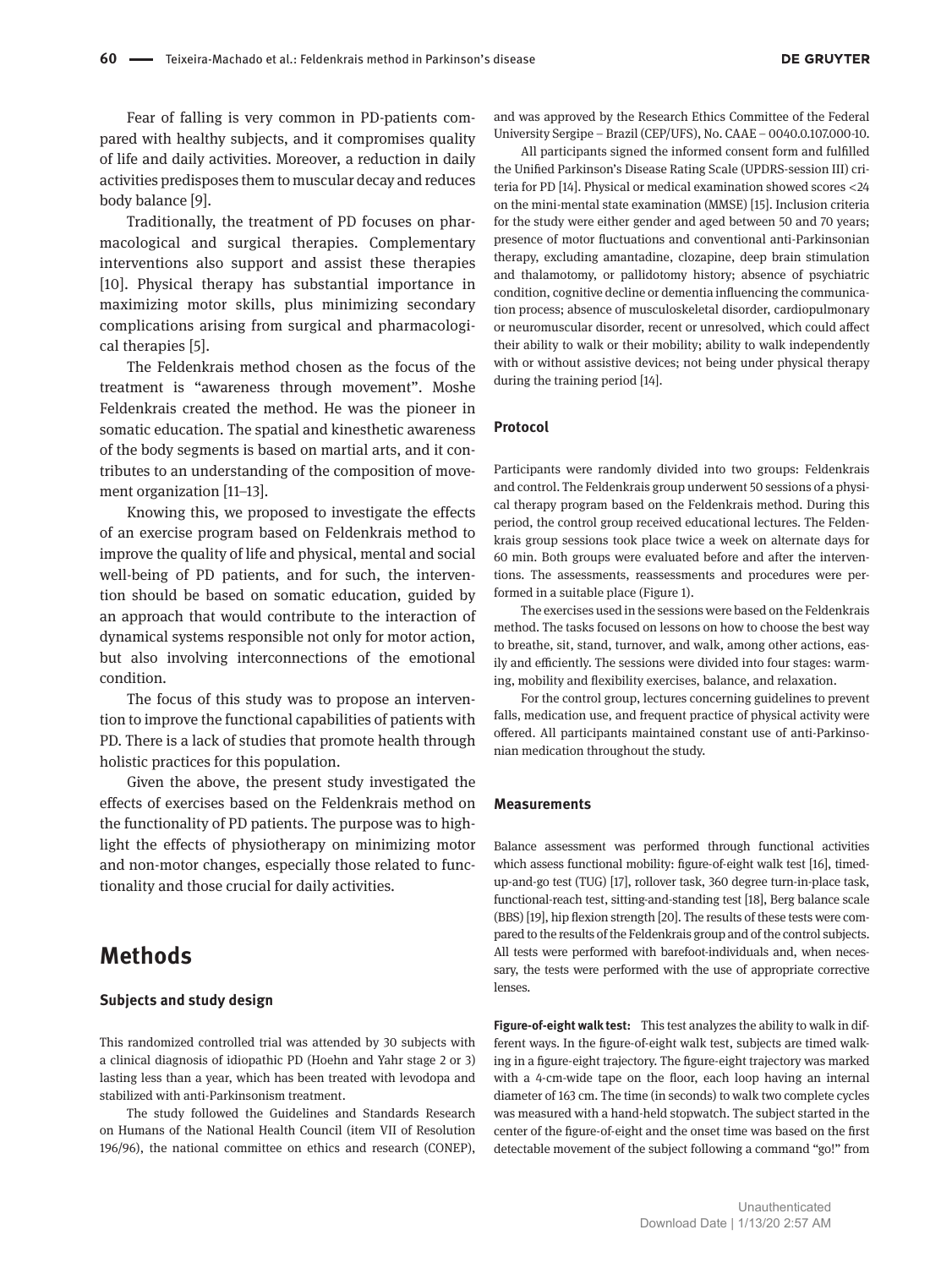Fear of falling is very common in PD-patients compared with healthy subjects, and it compromises quality of life and daily activities. Moreover, a reduction in daily activities predisposes them to muscular decay and reduces body balance [9].

Traditionally, the treatment of PD focuses on pharmacological and surgical therapies. Complementary interventions also support and assist these therapies [10]. Physical therapy has substantial importance in maximizing motor skills, plus minimizing secondary complications arising from surgical and pharmacological therapies [5].

The Feldenkrais method chosen as the focus of the treatment is "awareness through movement". Moshe Feldenkrais created the method. He was the pioneer in somatic education. The spatial and kinesthetic awareness of the body segments is based on martial arts, and it contributes to an understanding of the composition of movement organization [11–13].

Knowing this, we proposed to investigate the effects of an exercise program based on Feldenkrais method to improve the quality of life and physical, mental and social well-being of PD patients, and for such, the intervention should be based on somatic education, guided by an approach that would contribute to the interaction of dynamical systems responsible not only for motor action, but also involving interconnections of the emotional condition.

The focus of this study was to propose an intervention to improve the functional capabilities of patients with PD. There is a lack of studies that promote health through holistic practices for this population.

Given the above, the present study investigated the effects of exercises based on the Feldenkrais method on the functionality of PD patients. The purpose was to highlight the effects of physiotherapy on minimizing motor and non-motor changes, especially those related to functionality and those crucial for daily activities.

### **Methods**

#### **Subjects and study design**

This randomized controlled trial was attended by 30 subjects with a clinical diagnosis of idiopathic PD (Hoehn and Yahr stage 2 or 3) lasting less than a year, which has been treated with levodopa and stabilized with anti-Parkinsonism treatment.

The study followed the Guidelines and Standards Research on Humans of the National Health Council (item VII of Resolution 196/96), the national committee on ethics and research (CONEP), and was approved by the Research Ethics Committee of the Federal University Sergipe – Brazil (CEP/UFS), No. CAAE – 0040.0.107.000-10.

All participants signed the informed consent form and fulfilled the Unified Parkinson's Disease Rating Scale (UPDRS-session III) criteria for PD [14]. Physical or medical examination showed scores <24 on the mini-mental state examination (MMSE) [15]. Inclusion criteria for the study were either gender and aged between 50 and 70 years; presence of motor fluctuations and conventional anti-Parkinsonian therapy, excluding amantadine, clozapine, deep brain stimulation and thalamotomy, or pallidotomy history; absence of psychiatric condition, cognitive decline or dementia influencing the communication process; absence of musculoskeletal disorder, cardiopulmonary or neuromuscular disorder, recent or unresolved, which could affect their ability to walk or their mobility; ability to walk independently with or without assistive devices; not being under physical therapy during the training period [14].

#### **Protocol**

Participants were randomly divided into two groups: Feldenkrais and control. The Feldenkrais group underwent 50 sessions of a physical therapy program based on the Feldenkrais method. During this period, the control group received educational lectures. The Feldenkrais group sessions took place twice a week on alternate days for 60 min. Both groups were evaluated before and after the interventions. The assessments, reassessments and procedures were performed in a suitable place (Figure 1).

The exercises used in the sessions were based on the Feldenkrais method. The tasks focused on lessons on how to choose the best way to breathe, sit, stand, turnover, and walk, among other actions, easily and efficiently. The sessions were divided into four stages: warming, mobility and flexibility exercises, balance, and relaxation.

For the control group, lectures concerning guidelines to prevent falls, medication use, and frequent practice of physical activity were offered. All participants maintained constant use of anti-Parkinsonian medication throughout the study.

#### **Measurements**

Balance assessment was performed through functional activities which assess functional mobility: figure-of-eight walk test [16], timedup-and-go test (TUG) [17], rollover task, 360 degree turn-in-place task, functional-reach test, sitting-and-standing test [18], Berg balance scale (BBS) [19], hip flexion strength [20]. The results of these tests were compared to the results of the Feldenkrais group and of the control subjects. All tests were performed with barefoot-individuals and, when necessary, the tests were performed with the use of appropriate corrective lenses.

**Figure-of-eight walk test:** This test analyzes the ability to walk in different ways. In the figure-of-eight walk test, subjects are timed walking in a figure-eight trajectory. The figure-eight trajectory was marked with a 4-cm-wide tape on the floor, each loop having an internal diameter of 163 cm. The time (in seconds) to walk two complete cycles was measured with a hand-held stopwatch. The subject started in the center of the figure-of-eight and the onset time was based on the first detectable movement of the subject following a command "go!" from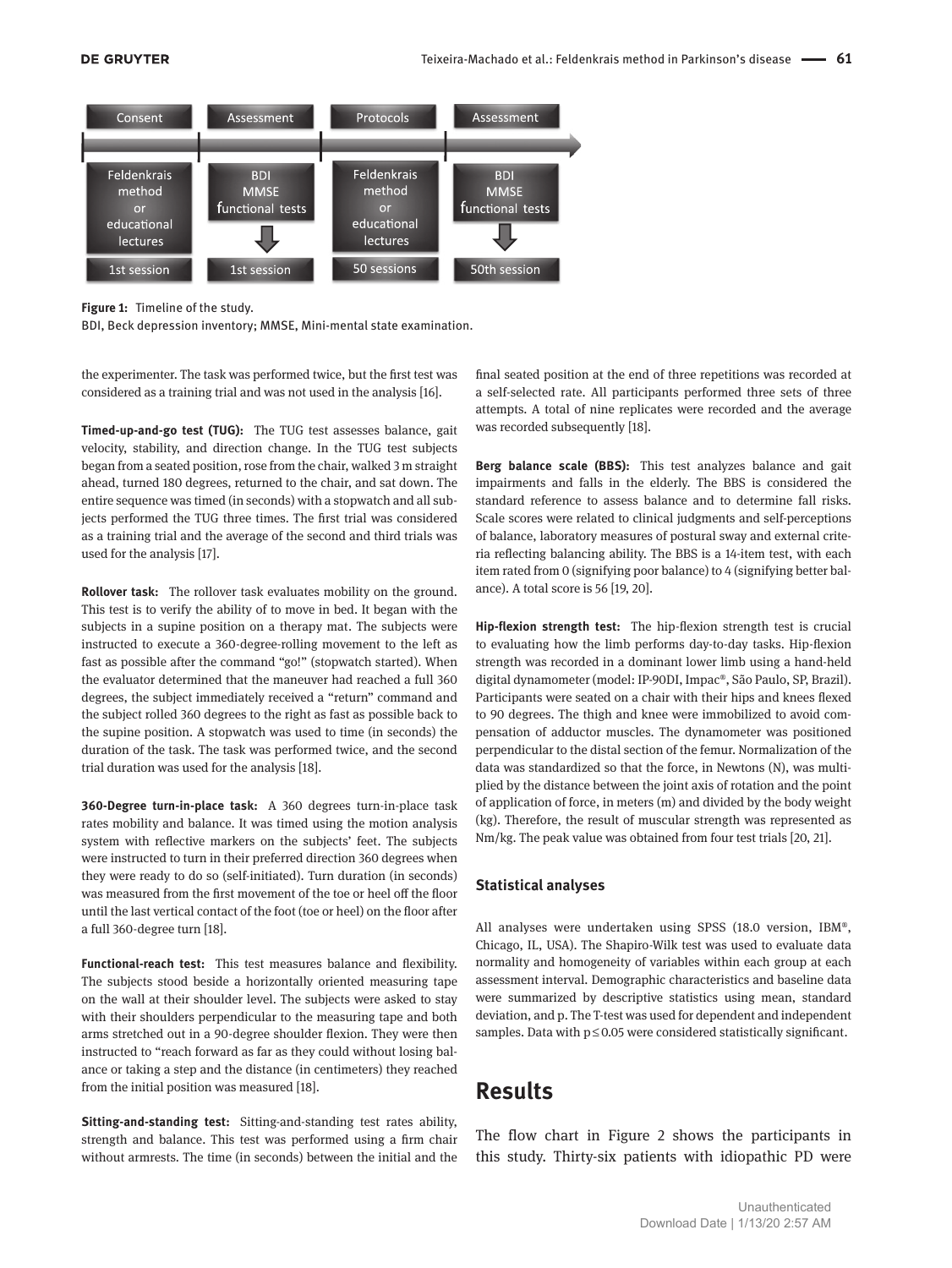

**Figure 1:** Timeline of the study.

BDI, Beck depression inventory; MMSE, Mini-mental state examination.

the experimenter. The task was performed twice, but the first test was considered as a training trial and was not used in the analysis [16].

**Timed-up-and-go test (TUG):** The TUG test assesses balance, gait velocity, stability, and direction change. In the TUG test subjects began from a seated position, rose from the chair, walked 3 m straight ahead, turned 180 degrees, returned to the chair, and sat down. The entire sequence was timed (in seconds) with a stopwatch and all subjects performed the TUG three times. The first trial was considered as a training trial and the average of the second and third trials was used for the analysis [17].

**Rollover task:** The rollover task evaluates mobility on the ground. This test is to verify the ability of to move in bed. It began with the subjects in a supine position on a therapy mat. The subjects were instructed to execute a 360-degree-rolling movement to the left as fast as possible after the command "go!" (stopwatch started). When the evaluator determined that the maneuver had reached a full 360 degrees, the subject immediately received a "return" command and the subject rolled 360 degrees to the right as fast as possible back to the supine position. A stopwatch was used to time (in seconds) the duration of the task. The task was performed twice, and the second trial duration was used for the analysis [18].

**360-Degree turn-in-place task:** A 360 degrees turn-in-place task rates mobility and balance. It was timed using the motion analysis system with reflective markers on the subjects' feet. The subjects were instructed to turn in their preferred direction 360 degrees when they were ready to do so (self-initiated). Turn duration (in seconds) was measured from the first movement of the toe or heel off the floor until the last vertical contact of the foot (toe or heel) on the floor after a full 360-degree turn [18].

**Functional-reach test:** This test measures balance and flexibility. The subjects stood beside a horizontally oriented measuring tape on the wall at their shoulder level. The subjects were asked to stay with their shoulders perpendicular to the measuring tape and both arms stretched out in a 90-degree shoulder flexion. They were then instructed to "reach forward as far as they could without losing balance or taking a step and the distance (in centimeters) they reached from the initial position was measured [18].

**Sitting-and-standing test:** Sitting-and-standing test rates ability, strength and balance. This test was performed using a firm chair without armrests. The time (in seconds) between the initial and the final seated position at the end of three repetitions was recorded at a self-selected rate. All participants performed three sets of three attempts. A total of nine replicates were recorded and the average was recorded subsequently [18].

**Berg balance scale (BBS):** This test analyzes balance and gait impairments and falls in the elderly. The BBS is considered the standard reference to assess balance and to determine fall risks. Scale scores were related to clinical judgments and self-perceptions of balance, laboratory measures of postural sway and external criteria reflecting balancing ability. The BBS is a 14-item test, with each item rated from 0 (signifying poor balance) to 4 (signifying better balance). A total score is 56 [19, 20].

**Hip-flexion strength test:** The hip-flexion strength test is crucial to evaluating how the limb performs day-to-day tasks. Hip-flexion strength was recorded in a dominant lower limb using a hand-held digital dynamometer (model: IP-90DI, Impac®, São Paulo, SP, Brazil). Participants were seated on a chair with their hips and knees flexed to 90 degrees. The thigh and knee were immobilized to avoid compensation of adductor muscles. The dynamometer was positioned perpendicular to the distal section of the femur. Normalization of the data was standardized so that the force, in Newtons (N), was multiplied by the distance between the joint axis of rotation and the point of application of force, in meters (m) and divided by the body weight (kg). Therefore, the result of muscular strength was represented as Nm/kg. The peak value was obtained from four test trials [20, 21].

#### **Statistical analyses**

All analyses were undertaken using SPSS (18.0 version, IBM®, Chicago, IL, USA). The Shapiro-Wilk test was used to evaluate data normality and homogeneity of variables within each group at each assessment interval. Demographic characteristics and baseline data were summarized by descriptive statistics using mean, standard deviation, and p. The T-test was used for dependent and independent samples. Data with  $p \le 0.05$  were considered statistically significant.

# **Results**

The flow chart in Figure 2 shows the participants in this study. Thirty-six patients with idiopathic PD were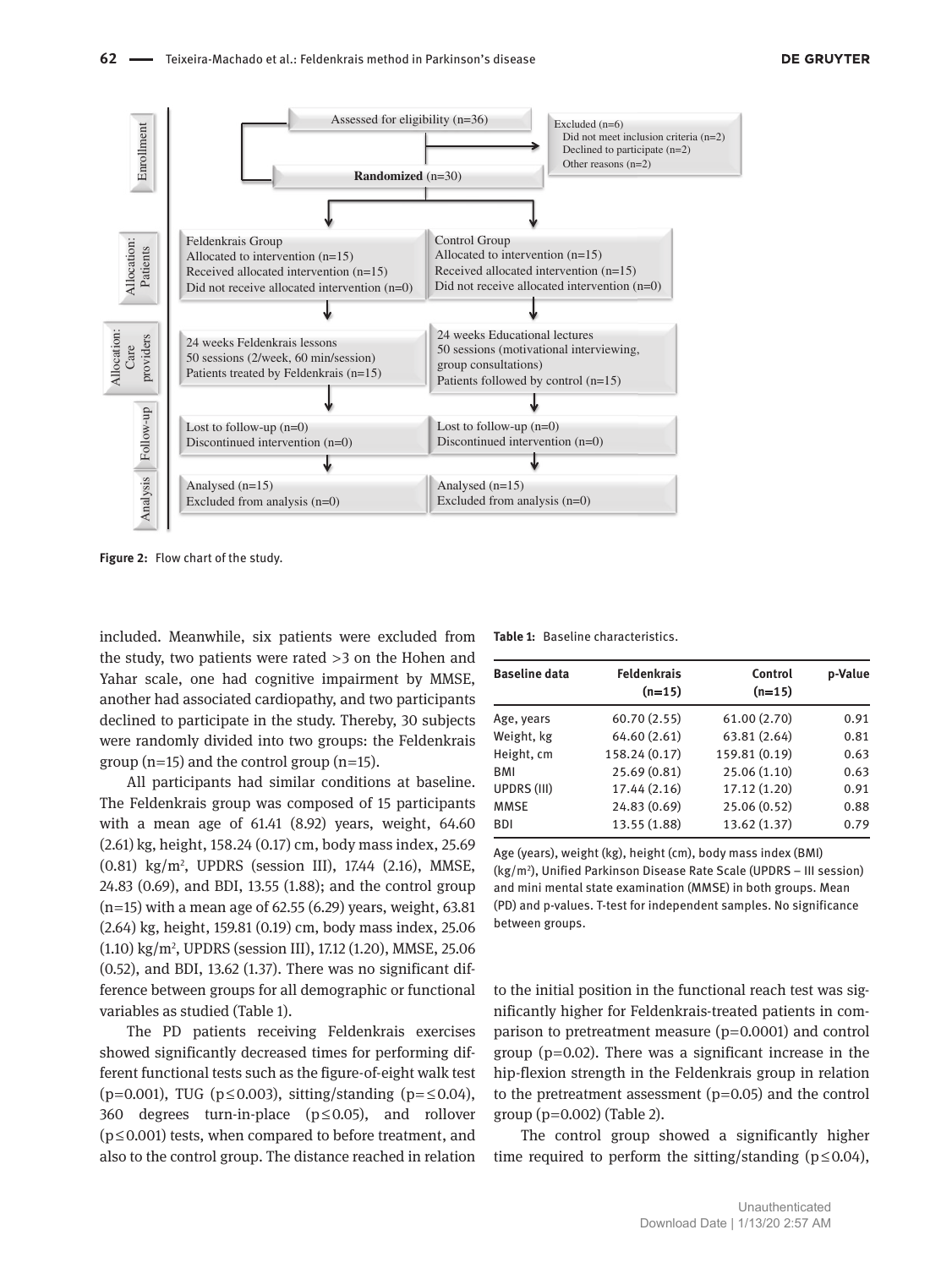

**Figure 2:** Flow chart of the study.

included. Meanwhile, six patients were excluded from the study, two patients were rated  > 3 on the Hohen and Yahar scale, one had cognitive impairment by MMSE, another had associated cardiopathy, and two participants declined to participate in the study. Thereby, 30 subjects were randomly divided into two groups: the Feldenkrais group ( $n=15$ ) and the control group ( $n=15$ ).

All participants had similar conditions at baseline. The Feldenkrais group was composed of 15 participants with a mean age of 61.41 (8.92) years, weight, 64.60 (2.61) kg, height, 158.24 (0.17) cm, body mass index, 25.69 (0.81) kg/m2 , UPDRS (session III), 17.44 (2.16), MMSE, 24.83 (0.69), and BDI, 13.55 (1.88); and the control group  $(n=15)$  with a mean age of 62.55 (6.29) years, weight, 63.81 (2.64) kg, height, 159.81 (0.19) cm, body mass index, 25.06 (1.10) kg/m2 , UPDRS (session III), 17.12 (1.20), MMSE, 25.06 (0.52), and BDI, 13.62 (1.37). There was no significant difference between groups for all demographic or functional variables as studied (Table 1).

The PD patients receiving Feldenkrais exercises showed significantly decreased times for performing different functional tests such as the figure-of-eight walk test (p=0.001), TUG (p $\leq$ 0.003), sitting/standing (p= $\leq$ 0.04), 360 degrees turn-in-place (p ≤ 0.05), and rollover  $(p \le 0.001)$  tests, when compared to before treatment, and also to the control group. The distance reached in relation

|  | <b>Table 1:</b> Baseline characteristics. |
|--|-------------------------------------------|
|--|-------------------------------------------|

| <b>Baseline data</b> | <b>Feldenkrais</b><br>$(n=15)$ | Control<br>$(n=15)$ | p-Value |
|----------------------|--------------------------------|---------------------|---------|
| Age, years           | 60.70(2.55)                    | 61.00(2.70)         | 0.91    |
| Weight, kg           | 64.60 (2.61)                   | 63.81 (2.64)        | 0.81    |
| Height, cm           | 158.24 (0.17)                  | 159.81 (0.19)       | 0.63    |
| BMI                  | 25.69 (0.81)                   | 25.06 (1.10)        | 0.63    |
| UPDRS (III)          | 17.44 (2.16)                   | 17.12 (1.20)        | 0.91    |
| <b>MMSE</b>          | 24.83 (0.69)                   | 25.06 (0.52)        | 0.88    |
| <b>BDI</b>           | 13.55 (1.88)                   | 13.62 (1.37)        | 0.79    |

Age (years), weight (kg), height (cm), body mass index (BMI) (kg/m2 ), Unified Parkinson Disease Rate Scale (UPDRS – III session) and mini mental state examination (MMSE) in both groups. Mean (PD) and p-values. T-test for independent samples. No significance between groups.

to the initial position in the functional reach test was significantly higher for Feldenkrais-treated patients in comparison to pretreatment measure  $(p=0.0001)$  and control group ( $p=0.02$ ). There was a significant increase in the hip-flexion strength in the Feldenkrais group in relation to the pretreatment assessment  $(p=0.05)$  and the control group  $(p=0.002)$  (Table 2).

The control group showed a significantly higher time required to perform the sitting/standing ( $p \le 0.04$ ),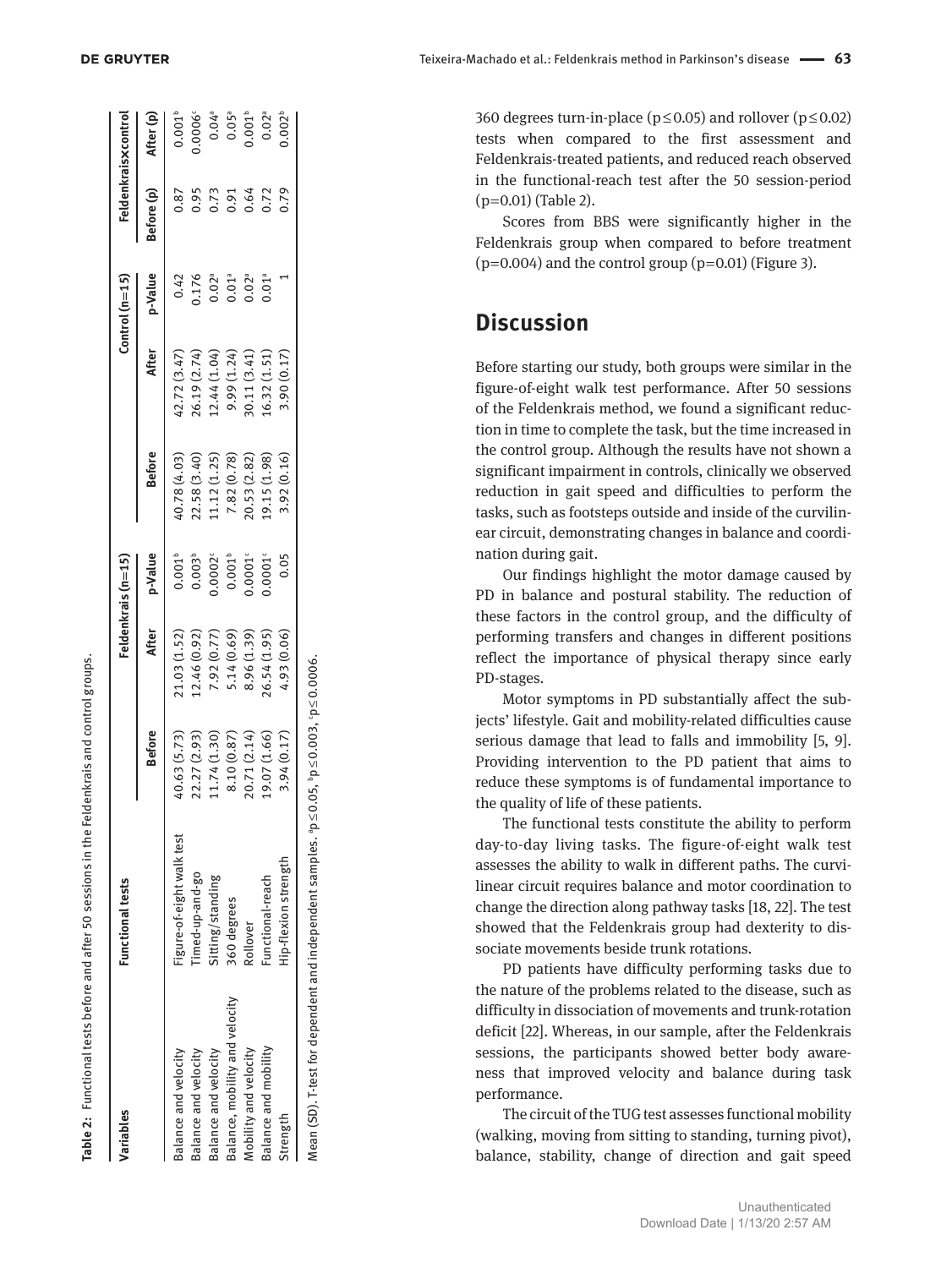| Variables                      | <b>Functional tests</b>  |               |              | Feldenkrais (n=15) |               |                                | $Control (n=15)$     |            | Feldenkraisxcontro                         |
|--------------------------------|--------------------------|---------------|--------------|--------------------|---------------|--------------------------------|----------------------|------------|--------------------------------------------|
|                                |                          | <b>Before</b> | After        | p-Value            | <b>Before</b> | After                          | p-Value              | Before (p) | After (p)                                  |
| Balance and velocity           | igure-of-eight walk test | (5.73)        | (1.03(1.52)) | $0.001^{b}$        | (6.4, 0.78)   | (2.72(3.47))                   | 0.42                 | 0.87       | 0.001 <sup>b</sup>                         |
| Balance and velocity           | imed-up-and-go           | 2.27 (2.93)   | 2.46(0.92)   | $0.003^{b}$        | 2.58 (3.40)   | 26.19 (2.74)                   | 1.176                | 0.95       | .0006                                      |
| Balance and velocity           | sitting/standing         | 1.74(1.30)    | 7.92 (0.77)  | 0.0002             | 1.12(1.25)    |                                | $0.02^{a}$           | 0.73       |                                            |
| Balance, mobility and velocity | 360 degrees              | 8.10 (0.87)   | 5.14 (0.69)  | $0.001^{b}$        | 7.82 (0.78)   | $12.44(1.04)$<br>9.99 $(1.24)$ | 0.01 <sup>a</sup>    | 0.91       | $0.04$ <sup>a</sup><br>$0.05$ <sup>a</sup> |
| Mobility and velocity          | Rollover                 | 0.71(2.14)    | 8.96 (1.39)  | 0.0001             | 0.53(2.82)    |                                | $0.02^a$<br>$0.01^a$ | 0.64       |                                            |
| Balance and mobility           | unctional-reach          | .9.07(1.66)   | (1.95)       | 0.0001             | .9.15(1.98)   | 30.11 (3.41)<br>16.32 (1.51)   |                      | 0.72       | $0.02^{a}$                                 |
| Strength                       | Hip-flexion strength     | 3.94 (0.17)   | 4.93 (0.06)  | 0.05               | 8.92 (0.16)   | 3.90(0.17)                     |                      |            |                                            |

**DE GRUYTER** 

**Table 2:** Functional tests before and after 50 sessions in the Feldenkrais and control groups.

Table 2: Functional tests before and after 50 sessions in the Feldenkrais and control groups.

|               | 94(0.17)                                                  | 0.06 | 0.05 | 3.92(0.16) | 2000 C<br>3.90(0.1) | 0.79 | $.002^{\circ}$ |
|---------------|-----------------------------------------------------------|------|------|------------|---------------------|------|----------------|
| $\frac{1}{2}$ | con care con<br>・・・ ー・・・<br>an/o OF bn/o<br>$\frac{1}{2}$ |      |      |            |                     |      |                |

Teixeira-Machado et al.: Feldenkrais method in Parkinson's disease   **63**

360 degrees turn-in-place ( $p \le 0.05$ ) and rollover ( $p \le 0.02$ ) tests when compared to the first assessment and Feldenkrais-treated patients, and reduced reach observed in the functional-reach test after the 50 session-period (p  = 0.01) (Table 2).

Scores from BBS were significantly higher in the Feldenkrais group when compared to before treatment  $(p=0.004)$  and the control group  $(p=0.01)$  (Figure 3).

### **Discussion**

Before starting our study, both groups were similar in the figure-of-eight walk test performance. After 50 sessions of the Feldenkrais method, we found a significant reduc tion in time to complete the task, but the time increased in the control group. Although the results have not shown a significant impairment in controls, clinically we observed reduction in gait speed and difficulties to perform the tasks, such as footsteps outside and inside of the curvilin ear circuit, demonstrating changes in balance and coordi nation during gait.

Our findings highlight the motor damage caused by PD in balance and postural stability. The reduction of these factors in the control group, and the difficulty of performing transfers and changes in different positions reflect the importance of physical therapy since early PD-stages.

Motor symptoms in PD substantially affect the sub jects' lifestyle. Gait and mobility-related difficulties cause serious damage that lead to falls and immobility [5, 9]. Providing intervention to the PD patient that aims to reduce these symptoms is of fundamental importance to the quality of life of these patients.

The functional tests constitute the ability to perform day-to-day living tasks. The figure-of-eight walk test assesses the ability to walk in different paths. The curvi linear circuit requires balance and motor coordination to change the direction along pathway tasks [18, 22]. The test showed that the Feldenkrais group had dexterity to dis sociate movements beside trunk rotations.

PD patients have difficulty performing tasks due to the nature of the problems related to the disease, such as difficulty in dissociation of movements and trunk-rotation deficit [22]. Whereas, in our sample, after the Feldenkrais sessions, the participants showed better body aware ness that improved velocity and balance during task performance.

The circuit of the TUG test assesses functional mobility (walking, moving from sitting to standing, turning pivot), balance, stability, change of direction and gait speed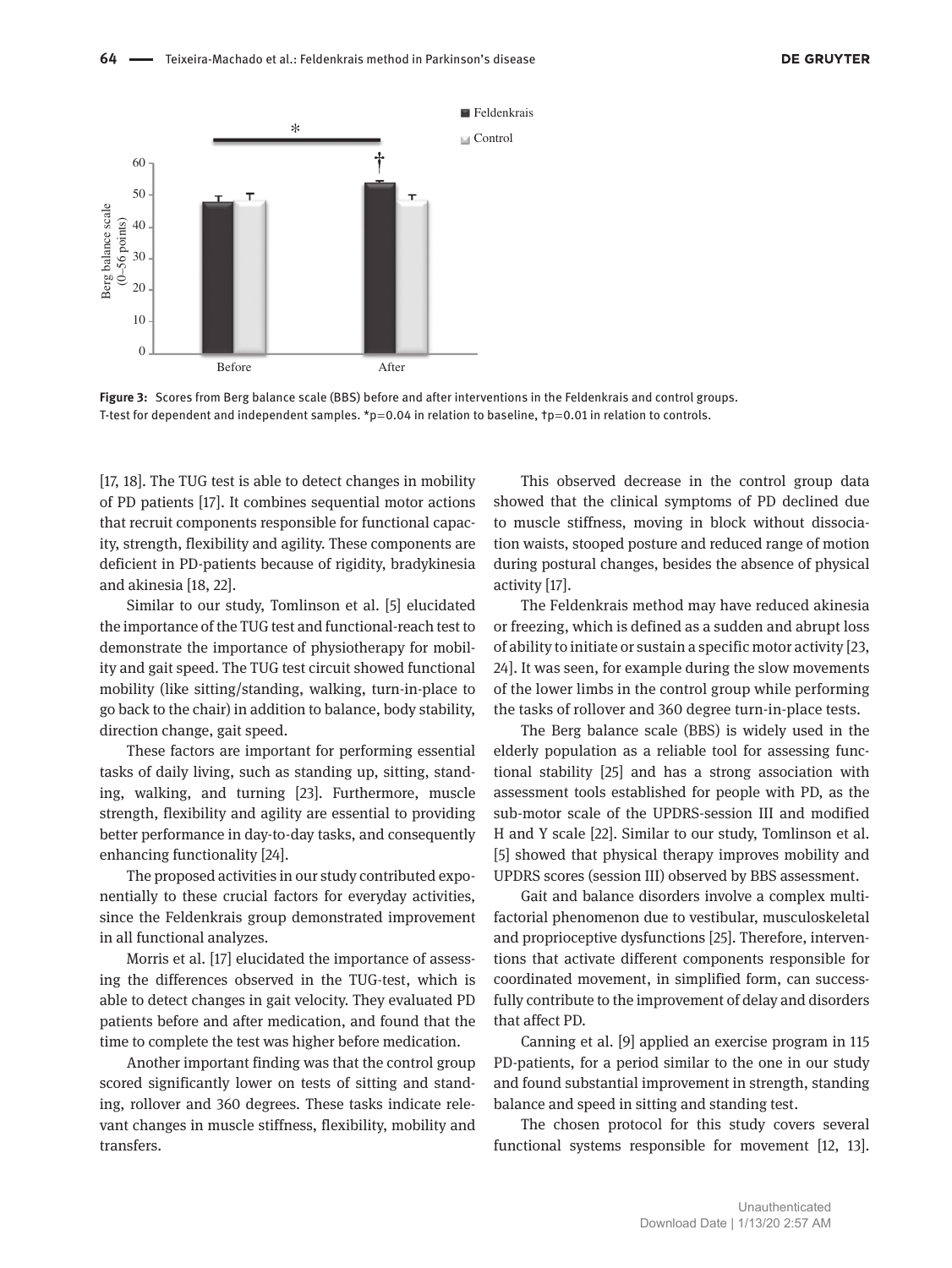

**Figure 3:** Scores from Berg balance scale (BBS) before and after interventions in the Feldenkrais and control groups. T-test for dependent and independent samples. \*p=0.04 in relation to baseline,  $tp=0.01$  in relation to controls.

[17, 18]. The TUG test is able to detect changes in mobility of PD patients [17]. It combines sequential motor actions that recruit components responsible for functional capacity, strength, flexibility and agility. These components are deficient in PD-patients because of rigidity, bradykinesia and akinesia [18, 22].

Similar to our study, Tomlinson et al. [5] elucidated the importance of the TUG test and functional-reach test to demonstrate the importance of physiotherapy for mobility and gait speed. The TUG test circuit showed functional mobility (like sitting/standing, walking, turn-in-place to go back to the chair) in addition to balance, body stability, direction change, gait speed.

These factors are important for performing essential tasks of daily living, such as standing up, sitting, standing, walking, and turning [23]. Furthermore, muscle strength, flexibility and agility are essential to providing better performance in day-to-day tasks, and consequently enhancing functionality [24].

The proposed activities in our study contributed exponentially to these crucial factors for everyday activities, since the Feldenkrais group demonstrated improvement in all functional analyzes.

Morris et al. [17] elucidated the importance of assessing the differences observed in the TUG-test, which is able to detect changes in gait velocity. They evaluated PD patients before and after medication, and found that the time to complete the test was higher before medication.

Another important finding was that the control group scored significantly lower on tests of sitting and standing, rollover and 360 degrees. These tasks indicate relevant changes in muscle stiffness, flexibility, mobility and transfers.

This observed decrease in the control group data showed that the clinical symptoms of PD declined due to muscle stiffness, moving in block without dissociation waists, stooped posture and reduced range of motion during postural changes, besides the absence of physical activity [17].

The Feldenkrais method may have reduced akinesia or freezing, which is defined as a sudden and abrupt loss of ability to initiate or sustain a specific motor activity [23, 24]. It was seen, for example during the slow movements of the lower limbs in the control group while performing the tasks of rollover and 360 degree turn-in-place tests.

The Berg balance scale (BBS) is widely used in the elderly population as a reliable tool for assessing functional stability [25] and has a strong association with assessment tools established for people with PD, as the sub-motor scale of the UPDRS-session III and modified H and Y scale [22]. Similar to our study, Tomlinson et al. [5] showed that physical therapy improves mobility and UPDRS scores (session III) observed by BBS assessment.

Gait and balance disorders involve a complex multifactorial phenomenon due to vestibular, musculoskeletal and proprioceptive dysfunctions [25]. Therefore, interventions that activate different components responsible for coordinated movement, in simplified form, can successfully contribute to the improvement of delay and disorders that affect PD.

Canning et al. [9] applied an exercise program in 115 PD-patients, for a period similar to the one in our study and found substantial improvement in strength, standing balance and speed in sitting and standing test.

The chosen protocol for this study covers several functional systems responsible for movement [12, 13].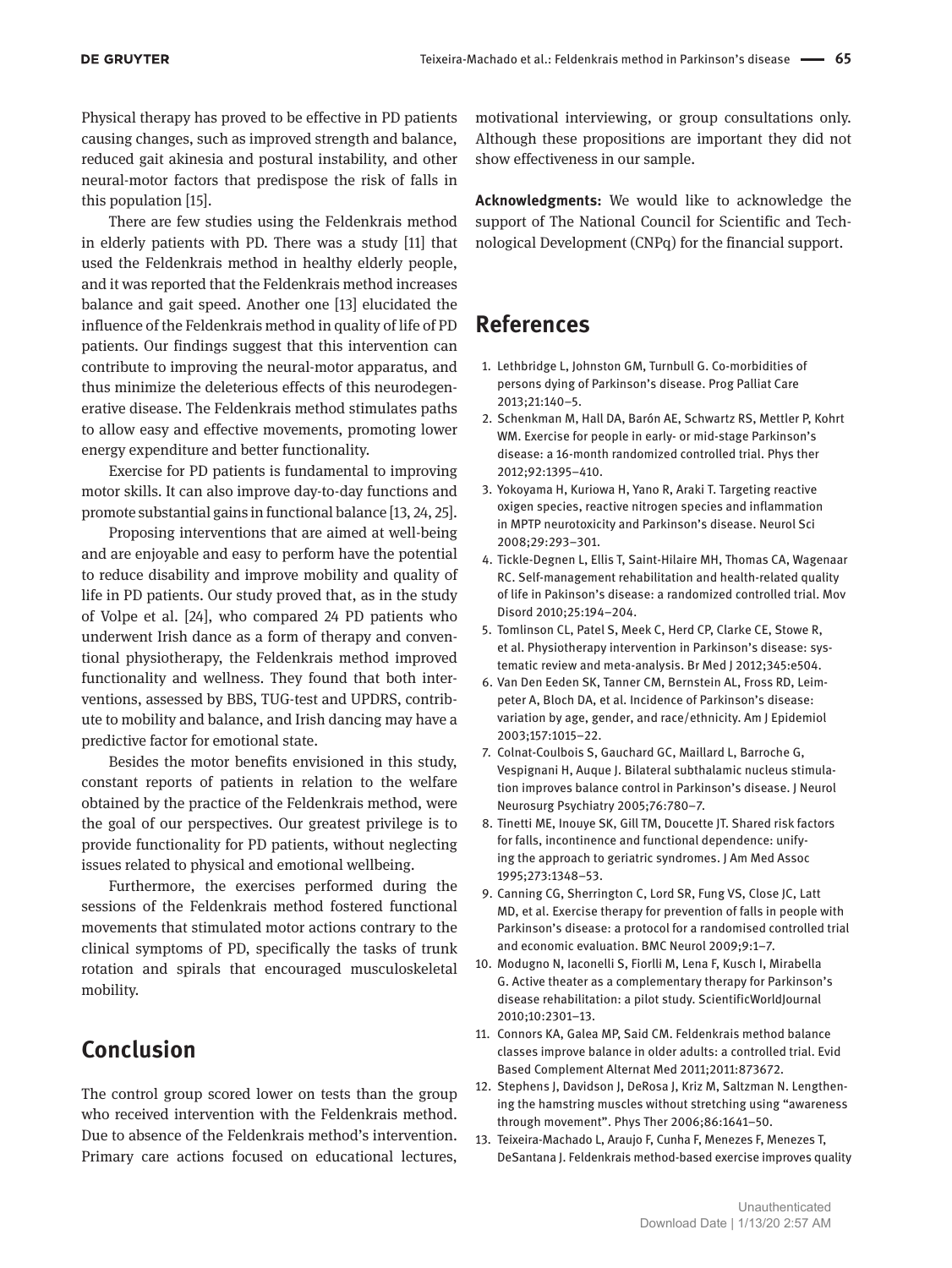Physical therapy has proved to be effective in PD patients causing changes, such as improved strength and balance, reduced gait akinesia and postural instability, and other neural-motor factors that predispose the risk of falls in this population [15].

There are few studies using the Feldenkrais method in elderly patients with PD. There was a study [11] that used the Feldenkrais method in healthy elderly people, and it was reported that the Feldenkrais method increases balance and gait speed. Another one [13] elucidated the influence of the Feldenkrais method in quality of life of PD patients. Our findings suggest that this intervention can contribute to improving the neural-motor apparatus, and thus minimize the deleterious effects of this neurodegenerative disease. The Feldenkrais method stimulates paths to allow easy and effective movements, promoting lower energy expenditure and better functionality.

Exercise for PD patients is fundamental to improving motor skills. It can also improve day-to-day functions and promote substantial gains in functional balance [13, 24, 25].

Proposing interventions that are aimed at well-being and are enjoyable and easy to perform have the potential to reduce disability and improve mobility and quality of life in PD patients. Our study proved that, as in the study of Volpe et al. [24], who compared 24 PD patients who underwent Irish dance as a form of therapy and conventional physiotherapy, the Feldenkrais method improved functionality and wellness. They found that both interventions, assessed by BBS, TUG-test and UPDRS, contribute to mobility and balance, and Irish dancing may have a predictive factor for emotional state.

Besides the motor benefits envisioned in this study, constant reports of patients in relation to the welfare obtained by the practice of the Feldenkrais method, were the goal of our perspectives. Our greatest privilege is to provide functionality for PD patients, without neglecting issues related to physical and emotional wellbeing.

Furthermore, the exercises performed during the sessions of the Feldenkrais method fostered functional movements that stimulated motor actions contrary to the clinical symptoms of PD, specifically the tasks of trunk rotation and spirals that encouraged musculoskeletal mobility.

## **Conclusion**

The control group scored lower on tests than the group who received intervention with the Feldenkrais method. Due to absence of the Feldenkrais method's intervention. Primary care actions focused on educational lectures,

motivational interviewing, or group consultations only. Although these propositions are important they did not show effectiveness in our sample.

**Acknowledgments:** We would like to acknowledge the support of The National Council for Scientific and Technological Development (CNPq) for the financial support.

### **References**

- 1. Lethbridge L, Johnston GM, Turnbull G. Co-morbidities of persons dying of Parkinson's disease. Prog Palliat Care 2013;21:140–5.
- 2. Schenkman M, Hall DA, Barón AE, Schwartz RS, Mettler P, Kohrt WM. Exercise for people in early- or mid-stage Parkinson's disease: a 16-month randomized controlled trial. Phys ther 2012;92:1395–410.
- 3. Yokoyama H, Kuriowa H, Yano R, Araki T. Targeting reactive oxigen species, reactive nitrogen species and inflammation in MPTP neurotoxicity and Parkinson's disease. Neurol Sci 2008;29:293–301.
- 4. Tickle-Degnen L, Ellis T, Saint-Hilaire MH, Thomas CA, Wagenaar RC. Self-management rehabilitation and health-related quality of life in Pakinson's disease: a randomized controlled trial. Mov Disord 2010;25:194–204.
- 5. Tomlinson CL, Patel S, Meek C, Herd CP, Clarke CE, Stowe R, et al. Physiotherapy intervention in Parkinson's disease: systematic review and meta-analysis. Br Med J 2012;345:e504.
- 6. Van Den Eeden SK, Tanner CM, Bernstein AL, Fross RD, Leimpeter A, Bloch DA, et al. Incidence of Parkinson's disease: variation by age, gender, and race/ethnicity. Am J Epidemiol 2003;157:1015–22.
- 7. Colnat-Coulbois S, Gauchard GC, Maillard L, Barroche G, Vespignani H, Auque J. Bilateral subthalamic nucleus stimulation improves balance control in Parkinson's disease. J Neurol Neurosurg Psychiatry 2005;76:780–7.
- 8. Tinetti ME, Inouye SK, Gill TM, Doucette JT. Shared risk factors for falls, incontinence and functional dependence: unifying the approach to geriatric syndromes. J Am Med Assoc 1995;273:1348–53.
- 9. Canning CG, Sherrington C, Lord SR, Fung VS, Close JC, Latt MD, et al. Exercise therapy for prevention of falls in people with Parkinson's disease: a protocol for a randomised controlled trial and economic evaluation. BMC Neurol 2009;9:1–7.
- 10. Modugno N, Iaconelli S, Fiorlli M, Lena F, Kusch I, Mirabella G. Active theater as a complementary therapy for Parkinson's disease rehabilitation: a pilot study. ScientificWorldJournal 2010;10:2301–13.
- 11. Connors KA, Galea MP, Said CM. Feldenkrais method balance classes improve balance in older adults: a controlled trial. Evid Based Complement Alternat Med 2011;2011:873672.
- 12. Stephens J, Davidson J, DeRosa J, Kriz M, Saltzman N. Lengthening the hamstring muscles without stretching using "awareness through movement". Phys Ther 2006;86:1641–50.
- 13. Teixeira-Machado L, Araujo F, Cunha F, Menezes F, Menezes T, DeSantana J. Feldenkrais method-based exercise improves quality